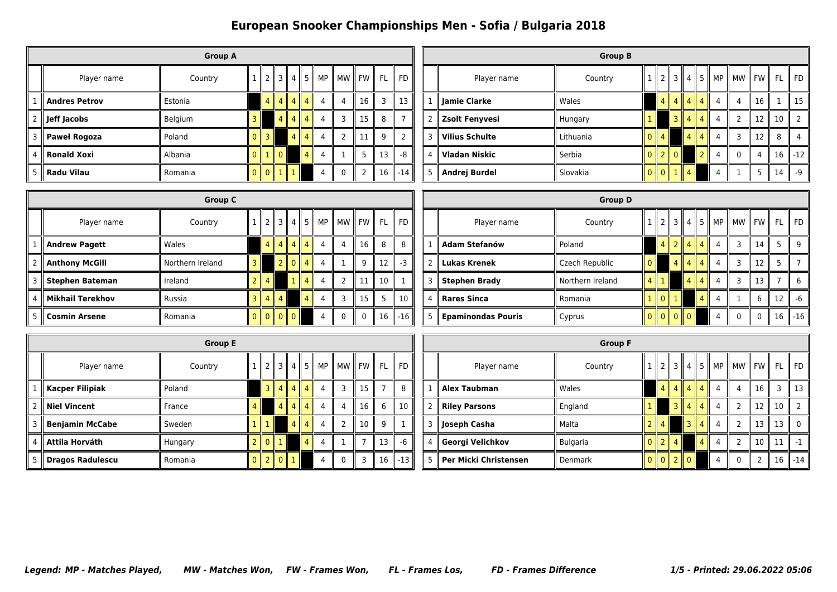|                      |                      | <b>Group A</b> |   |                     |                |           |                |                |    |     |                |
|----------------------|----------------------|----------------|---|---------------------|----------------|-----------|----------------|----------------|----|-----|----------------|
|                      | Player name          | Country        |   | 12131451            |                |           |                | MP    MW    FW |    | FL. | $\parallel$ FD |
|                      | <b>Andres Petrov</b> | Estonia        |   | 4 II                | 4   4   4      |           | 4              | 4              | 16 | 3   | 13             |
| II<br>$\overline{2}$ | Jeff Jacobs          | Belgium        | ٦ |                     |                | 4   4   4 | $\overline{4}$ | $\overline{3}$ | 15 | 8   |                |
|                      | 3   Paweł Rogoza     | Poland         |   | 3<br>Ш              |                | $4$   4   | $\overline{4}$ | 2              | 11 | 9   | 2              |
| 4                    | <b>Ronald Xoxi</b>   | Albania        |   | 110                 |                | 4         | 4              |                | 5  | 13  | -8             |
| 5                    | Radu Vilau           | Romania        |   | $\overline{0}$<br>Ш | $\mathbb{I}$ 1 |           | 4              | $\mathbf{0}$   | 2  | 16  | $-14$          |

|   |                       | <b>Group B</b> |    |                 |                           |                |                 |                |                                                                           |    |    |               |
|---|-----------------------|----------------|----|-----------------|---------------------------|----------------|-----------------|----------------|---------------------------------------------------------------------------|----|----|---------------|
|   | Player name           | Country        |    | $\mathcal{P}$   | $\parallel$ 3 $\parallel$ | 4.             |                 |                | $\parallel$ 5 $\parallel$ MP $\parallel$ MW $\parallel$ FW $\parallel$ FL |    |    | <b>FD</b>     |
|   | Jamie Clarke          | Wales          |    | $\overline{4}$  | $\overline{4}$            | $\parallel$ 4  | $\vert 4 \vert$ | 4              | 4                                                                         | 16 |    | 15            |
| 2 | <b>Zsolt Fenyvesi</b> | Hungary        |    |                 | 3 <sup>1</sup>            | 4              | $\overline{4}$  | 4              | 2                                                                         | 12 | 10 | $\mathcal{D}$ |
| 3 | <b>Vilius Schulte</b> | Lithuania      | n  | $\overline{4}$  |                           | $\overline{4}$ | $\overline{4}$  | $\overline{4}$ | 3                                                                         | 12 | 8  | 4             |
| 4 | <b>Vladan Niskic</b>  | Serbia         | n. | $\parallel$ 2   | $\mathsf{I}$ 0            |                | $\overline{2}$  | 4              | 0                                                                         | 4  | 16 | ll -12        |
| 5 | Andrej Burdel         | Slovakia       |    | $0$   $0$   $1$ |                           | $\parallel$ 4  |                 | 4              |                                                                           | 5  | 14 | $-9$          |

|                  | <b>Group C</b>   |                |                |                |                   |                |                |  |                |                            |                                                             |  |                           | <b>Group D</b>   |   |                |                |                   |                |  |          |                 |            |
|------------------|------------------|----------------|----------------|----------------|-------------------|----------------|----------------|--|----------------|----------------------------|-------------------------------------------------------------|--|---------------------------|------------------|---|----------------|----------------|-------------------|----------------|--|----------|-----------------|------------|
| Player name      | Country          |                | 2 I            |                | $3$   4           | - 5 II         | <b>MP</b>      |  |                |                            | MW $\parallel$ FW $\parallel$ FL $\parallel$ FD $\parallel$ |  | Player name               | Country          |   | 2 II           | 3 II           |                   | $4$   5        |  |          |                 |            |
| Andrew Pagett    | Wales            |                | $4 \parallel$  |                | $4 \, \, 4 \, \,$ | 4 <sup>1</sup> |                |  | 16             | 8                          | 8                                                           |  | Adam Stefanów             | Poland           |   |                | $4$   2        | 4 <sup>1</sup>    | $\vert$ 4      |  | 14       |                 | 9          |
| Anthony McGill   | Northern Ireland |                |                | 2 <sub>1</sub> | $\overline{0}$    | 4 <sup>1</sup> |                |  | 9              | 12                         | $-3$                                                        |  | <b>Lukas Krenek</b>       | Czech Republic   |   |                | 4 <sup>1</sup> | 4 II              | 4 I            |  | 12       |                 |            |
| Stephen Bateman  | Ireland          |                | 4 <sub>1</sub> |                |                   |                |                |  | 11             | $\parallel$ 10 $\parallel$ |                                                             |  | <b>Stephen Brady</b>      | Northern Ireland | 4 |                |                | $\vert$ 4 $\vert$ | 4 I            |  | 13       |                 |            |
| Mikhail Terekhov | Russia           | 3 <sub>1</sub> | -4 II          | 4 <sub>1</sub> |                   | $\overline{4}$ |                |  | 15 I           | 5                          | 10                                                          |  | Rares Sinca               | Romania          |   | $\overline{0}$ |                |                   | 4 <sup>1</sup> |  |          | 12 <sup>1</sup> | $-6$       |
| l Cosmin Arsene  | Romania          |                |                | 0  0  0        |                   |                | $\overline{a}$ |  | $\overline{0}$ |                            | $\parallel$ 16 $\parallel$ -16 $\parallel$                  |  | <b>Epaminondas Pouris</b> | Cyprus           |   |                |                | $\Omega$          |                |  | $\Omega$ |                 | $16$   -16 |

|                |                         | <b>Group E</b> |   |              |                 |                |                |                |                           |           |    |           |
|----------------|-------------------------|----------------|---|--------------|-----------------|----------------|----------------|----------------|---------------------------|-----------|----|-----------|
|                | Player name             | Country        |   |              | $\parallel$ 3   | 4              | -5 II          | MP             | <b>MW</b><br>$\mathbf{I}$ | <b>FW</b> | FL | <b>FD</b> |
|                | <b>Kacper Filipiak</b>  | Poland         |   |              | $3 \parallel 4$ | l 4            | $\overline{4}$ | 4              | 3                         | 15        |    | 8         |
| $\overline{2}$ | <b>Niel Vincent</b>     | France         | 4 |              | 4               | l 4            | $\overline{4}$ | $\overline{4}$ | 4                         | 16        | 6  | 10        |
| 3              | <b>Benjamin McCabe</b>  | Sweden         |   |              |                 | $\overline{4}$ | $\overline{4}$ | $\overline{4}$ | $\overline{2}$            | 10        | 9  |           |
| 4              | Attila Horváth          | Hungary        |   | $0$   1<br>Ш |                 |                | $\overline{4}$ | 4              |                           |           | 13 | -6        |
| 5              | <b>Dragos Radulescu</b> | Romania        |   | $0$  2 0     |                 |                |                | 4              | $\mathbf{0}$              | 3         | 16 | $-13$     |

|   |                       | <b>Group F</b>  |                             |                |                |                 |                |                          |                |           |                          |
|---|-----------------------|-----------------|-----------------------------|----------------|----------------|-----------------|----------------|--------------------------|----------------|-----------|--------------------------|
|   | Player name           | Country         |                             | 3              | 4              | l 5             |                | $MP$   MW   FW           |                | <b>FL</b> | <b>FD</b>                |
| 1 | <b>Alex Taubman</b>   | Wales           | 4                           | $\overline{4}$ | $\parallel$ 4  | $\vert 4$       | $\overline{4}$ | 4                        | 16             | 3         | 13                       |
| 2 | <b>Riley Parsons</b>  | England         |                             | $\overline{3}$ | $\overline{4}$ | $\vert 4 \vert$ | $\overline{4}$ | $\overline{\phantom{0}}$ | 12             | 10        | $\overline{\phantom{0}}$ |
| 3 | Joseph Casha          | Malta           | $\overline{4}$              |                | $\overline{3}$ | $\overline{4}$  | $\overline{4}$ | $\overline{\phantom{0}}$ | 13             | 13        | $\mathbf{0}$             |
| 4 | Georgi Velichkov      | <b>Bulgaria</b> | $\overline{2}$              | $\overline{4}$ |                | $\overline{4}$  | $\overline{4}$ | $\overline{\phantom{0}}$ | 10             | 11        | $-1$                     |
| 5 | Per Micki Christensen | <b>Denmark</b>  | $\parallel$ 0 $\parallel$ 2 |                | $\mathsf{I}$ 0 |                 | 4              | $\mathbf 0$              | $\overline{2}$ | 16        | $-14$                    |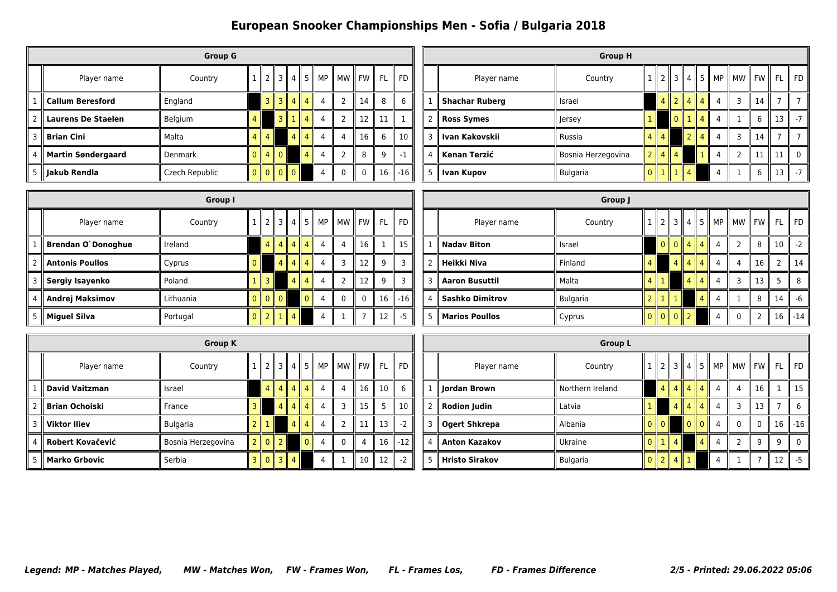|                |                           | <b>Group G</b> |                |                |                 |                |                |                |                |      |           |           |
|----------------|---------------------------|----------------|----------------|----------------|-----------------|----------------|----------------|----------------|----------------|------|-----------|-----------|
|                | Player name               | Country        |                |                | $2 \parallel 3$ | 4              | 5              | MP             | MW             | FW I | <b>FL</b> | <b>FD</b> |
| 1              | Callum Beresford          | England        |                | 3 II           | 3 II            | $\overline{4}$ | $\parallel$ 4  | $\overline{4}$ | 2              | 14   | 8         | 6         |
| $\overline{2}$ | Laurens De Staelen        | Belgium        | 4              |                | 3 II            | $\mathbf{1}$   | $\parallel$ 4  | $\overline{4}$ | $\overline{2}$ | 12   | 11        | 1         |
| 3              | <b>Brian Cini</b>         | Malta          | 4 II           | $\overline{4}$ |                 | 4              | $\overline{4}$ | 4              | 4              | 16   | 6         | 10        |
| 4              | <b>Martin Søndergaard</b> | <b>Denmark</b> | 0 <sup>1</sup> |                | $4 \mid 0$      |                | 4              | 4              | $\overline{2}$ | 8    | 9         | $-1$      |
| 5              | ∥ Jakub Rendla            | Czech Republic | 0 <sup>1</sup> | $0$   0        |                 | $\parallel 0$  |                | 4              | $\mathbf{0}$   | 0    | 16        | $-16$     |

|   |                       | <b>Group H</b>     |   |                |          |                          |                |       |       |    |    |              |
|---|-----------------------|--------------------|---|----------------|----------|--------------------------|----------------|-------|-------|----|----|--------------|
|   | Player name           | Country            |   | 121314         |          |                          | $\vert$ 5      | MP II | MW FW |    | FL | FD.          |
|   | <b>Shachar Ruberg</b> | Israel             |   | $\overline{4}$ | 1214     |                          | $\parallel$ 4  | 4     | 3     | 14 |    |              |
| 2 | <b>Ross Symes</b>     | Jersey             |   |                | $\Omega$ |                          | 4              | 4     |       | 6  | 13 | $-7$         |
| 3 | Ivan Kakovskii        | Russia             | 4 | $\overline{4}$ |          | $\overline{\phantom{a}}$ | $\overline{4}$ | 4     | 3     | 14 |    |              |
| 4 | Kenan Terzić          | Bosnia Herzegovina |   | 2   4   4      |          |                          |                | 4     | C     | 11 | 11 | $\mathbf{0}$ |
| 5 | Ivan Kupov            | <b>Bulgaria</b>    |   | $0$   1        | 1114     |                          |                |       |       | 6  | 13 | $-7$         |

|                    | Group I   |                |                 |                    |          |                |                  |             |              |       |  |                        | Group J  |                 |  |                 |                                                    |    |      |                            |
|--------------------|-----------|----------------|-----------------|--------------------|----------|----------------|------------------|-------------|--------------|-------|--|------------------------|----------|-----------------|--|-----------------|----------------------------------------------------|----|------|----------------------------|
| Player name        | Country   |                |                 |                    |          |                | 2 3 4 5 MP MW FW |             | FL I         | FD    |  | Player name            | Country  |                 |  |                 | $1 \  2 \  3 \  4 \  5 \ $ MP $\ $ MW $\ $ FW $\ $ |    | FL.  | $\parallel$ FD $\parallel$ |
| Brendan O`Donoghue | Ireland   |                | 4 <sub>  </sub> | (4)                |          | 44             | $\overline{4}$   | 16          |              | 15    |  | <b>Nadav Biton</b>     | Israel   |                 |  | $0$ 0 $4$ 4 $4$ |                                                    | 8  | 10 I | $-2$                       |
| Antonis Poullos    | Cyprus    | $\overline{0}$ |                 | $\vert$ 4 $\vert$  | 4        | $\overline{4}$ | 3                | 12          | $\mathbf{Q}$ |       |  | Heikki Niva            | Finland  |                 |  | $4$   4   4     |                                                    | 16 |      | 14                         |
| Sergiy Isayenko    | Poland    |                | 3 <sup>1</sup>  |                    | $\Delta$ |                | $\overline{2}$   | 12          | $\Omega$     |       |  | <b>Aaron Busuttil</b>  | Malta    | 4 I             |  | 4   4           |                                                    | 13 |      | 8                          |
| Andrej Maksimov    | Lithuania |                |                 | $0$ $0$ $0$ $0$    |          | $\Omega$       | $\mathbf 0$      | $\mathbf 0$ | 16           | $-16$ |  | <b>Sashko Dimitrov</b> | Bulgaria | $2 \parallel 1$ |  |                 |                                                    |    | 14   | -6                         |
| Miguel Silva       | Portugal  |                |                 | $0$    2    1    4 |          |                | -1               |             | 12           | $-5$  |  | <b>Marios Poullos</b>  | Cyprus   |                 |  |                 |                                                    |    |      | $16$   -14                 |

|   |                       | <b>Group K</b>     |                |                |               |                |    |                |                               |    |           |
|---|-----------------------|--------------------|----------------|----------------|---------------|----------------|----|----------------|-------------------------------|----|-----------|
|   | Player name           | Country            |                | ′ 3،           | 4             | 5 II           | MP | МW<br>H.       | $\parallel$ FW $\parallel$ FL |    | <b>FD</b> |
|   | <b>David Vaitzman</b> | Israel             | $\overline{4}$ |                | 4    4    4   |                | 4  | 4              | 16                            | 10 | 6         |
|   | <b>Brian Ochoiski</b> | France             |                | $\overline{4}$ | 4  4          |                | 4  | 3              | 15                            | 5  | 10        |
| 3 | <b>Viktor Iliev</b>   | <b>Bulgaria</b>    |                |                | 4 I           | $\overline{4}$ | 4  | $\overline{2}$ | 11                            | 13 | $-2$      |
| 4 | Robert Kovačević      | Bosnia Herzegovina | $\mathsf{I}$ 0 | l 2            |               | $\Omega$       | 4  | $\mathbf{0}$   | 4                             | 16 | $-12$     |
| 5 | <b>Marko Grbovic</b>  | Serbia             | $\mathsf{I}$ 0 | $\sqrt{3}$     | $\parallel$ 4 |                | 4  |                | 10                            | 12 | $-2$      |

|                |                       | <b>Group L</b>   |          |                    |                |                |                |                |               |              |           |           |
|----------------|-----------------------|------------------|----------|--------------------|----------------|----------------|----------------|----------------|---------------|--------------|-----------|-----------|
|                | Player name           | Country          |          | 2                  | 3              | 4 <sub>h</sub> | 5              | MP I           | MW I          | <b>FW</b>    | <b>FL</b> | <b>FD</b> |
| $\mathbf{1}$   | Jordan Brown          | Northern Ireland |          | 4                  | 4              | $\sqrt{4}$     | $\overline{4}$ | 4              | 4             | 16           |           | 15        |
| $\overline{2}$ | <b>Rodion Judin</b>   | Latvia           |          |                    | 4              | $\overline{4}$ | $\parallel$ 4  | 4              | 3             | 13           |           | 6         |
| 3              | <b>Ogert Shkrepa</b>  | Albania          | 0        | $\mathsf{I}$ 0     |                | $\mathbf{0}$   | $\Omega$       | $\overline{4}$ | $\mathbf{0}$  | $\mathbf{0}$ | 16        | $-16$     |
| 4              | <b>Anton Kazakov</b>  | Ukraine          | $\Omega$ | $\mathbf{1}$<br>Ш. | $\sqrt{4}$     |                | 4              | $\overline{4}$ | $\mathcal{D}$ | 9            | 9         | $\Omega$  |
| 5              | <b>Hristo Sirakov</b> | <b>Bulgaria</b>  |          | $\parallel$ 2      | $\overline{4}$ |                |                | 4              |               |              | 12        | $-5$      |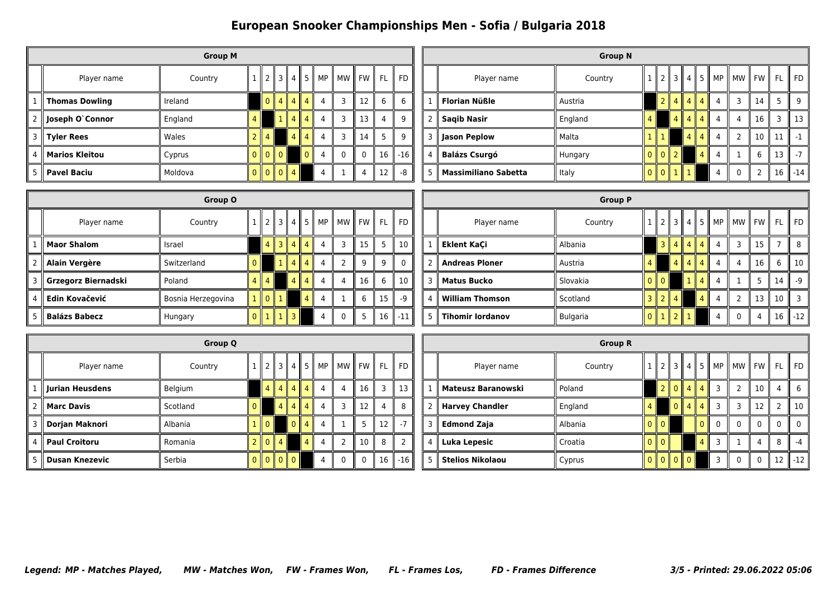|                |                        | <b>Group M</b> |     |                |     |                 |                |                |                |          |                |           |
|----------------|------------------------|----------------|-----|----------------|-----|-----------------|----------------|----------------|----------------|----------|----------------|-----------|
|                | Player name            | Country        |     | 2 <sub>1</sub> | 3   | 4               | 5              | MP             |                | MW FW I  | <b>FL</b>      | <b>FD</b> |
| 1              | Thomas Dowling         | Ireland        |     | $\mathbf{0}$   |     | $4$   4   4     |                | $\overline{4}$ | 3              | 12       | 6              | 6         |
| $\overline{2}$ | Joseph O`Connor        | England        | 4   |                | 1 I | $4 \parallel 4$ |                | $\overline{4}$ | 3              | 13       | $\overline{4}$ | 9         |
| 3              | $\parallel$ Tyler Rees | Wales          | っ   | $\overline{4}$ |     |                 | $4$   4        | $\overline{4}$ | $\overline{3}$ | 14       | 5              | 9         |
| 4              | <b>Marios Kleitou</b>  | Cyprus         |     | $0$ 0 0 0      |     |                 | $\overline{0}$ | 4              | $\mathbf{0}$   | $\Omega$ | 16             | $  -16$   |
| 5              | <b>Pavel Baciu</b>     | Moldova        | 0 I | $0$   0        |     | $\overline{4}$  |                | 4              |                | 4        | 12             | $-8$      |

|                |                             | <b>Group N</b> |              |                     |              |             |                |   |                      |    |    |           |
|----------------|-----------------------------|----------------|--------------|---------------------|--------------|-------------|----------------|---|----------------------|----|----|-----------|
|                | Player name                 | Country        |              | $\mathsf{I}$ 2      |              |             | 131451         |   | MP    MW    FW    FL |    |    | <b>FD</b> |
|                | ∥ Florian Nüßle             | Austria        |              | $\overline{2}$      | $\mathbf{I}$ | 4    4    4 |                | 4 | ٦                    | 14 | 5  | q         |
| $\mathcal{P}$  | <b>Saqib Nasir</b>          | England        | 4            |                     |              | $4$   4     | $\overline{4}$ | 4 | 4                    | 16 | 3  | 13        |
| 3              | Jason Peplow                | Malta          |              |                     |              | 4           | $\overline{4}$ | 4 | C                    | 10 | 11 | -1        |
| $\overline{4}$ | <b>Balázs Csurgó</b>        | Hungary        |              | $0$   $0$   $2$     |              |             | 4              | 4 |                      | 6  | 13 |           |
| 5              | <b>Massimiliano Sabetta</b> | Italy          | $\mathbf{0}$ | $\overline{0}$<br>Ш |              | w           |                |   | 0                    | 2  | 16 | $-14$     |

|                      | Group O            |     |       |                 |                |                                                |                |    |    |          |              |   |                         | <b>Group P</b>  |                        |                  |         |  |                                          |    |      |           |
|----------------------|--------------------|-----|-------|-----------------|----------------|------------------------------------------------|----------------|----|----|----------|--------------|---|-------------------------|-----------------|------------------------|------------------|---------|--|------------------------------------------|----|------|-----------|
| Player name          | Country            |     |       |                 |                | 2    3    4    5    MP    MW    FW    FL    FD |                |    |    |          |              |   | Player name             | Country         |                        |                  |         |  | $\ 2\ 3\ 4\ 5\ $ MP $\ $ MW $\ $ FW $\ $ |    | FL I | <b>FD</b> |
| <b>Maor Shalom</b>   | Israel             |     |       | $4$   3   4   4 |                |                                                | 3              | 15 |    | 5        | 10           |   | , Eklent KaÇi           | Albania         |                        | 3    4    4    4 |         |  | 3                                        | 15 |      | -8        |
| Alain Vergère        | Switzerland        |     |       | 1144            |                |                                                | $\overline{2}$ | 9  | 9  |          | $\mathbf{0}$ |   | <b>Andreas Ploner</b>   | Austria         |                        |                  | 4 4 4 4 |  |                                          | 16 | 6    | 10        |
| Grzegorz Biernadski  | Poland             | 4 I |       | $\overline{4}$  |                |                                                | $\overline{4}$ | 16 |    | 6        | 10           |   | <b>Matus Bucko</b>      | Slovakia        | $0$ $0$ $\overline{0}$ |                  |         |  |                                          |    | 14   | -9        |
| Edin Kovačević       | Bosnia Herzegovina |     | 1 0 1 |                 | $\overline{4}$ |                                                |                | 6  | 15 |          | $-9$         | 4 | <b>William Thomson</b>  | Scotland        | $3$   2                | 4 I              |         |  |                                          | 13 | 10   |           |
| <b>Balázs Babecz</b> | Hungary            |     |       | $0$ $1$ $1$ $3$ |                |                                                | $\mathbf{0}$   | 5  |    | $16$ -11 |              |   | <b>Tihomir lordanov</b> | <b>Bulgaria</b> | $0$  1                 |                  |         |  | $\mathbf{0}$                             |    | 16 l | $-12$     |

|                |                       | <b>Group Q</b> |          |                                                    |                           |              |                |                |              |       |    |               |
|----------------|-----------------------|----------------|----------|----------------------------------------------------|---------------------------|--------------|----------------|----------------|--------------|-------|----|---------------|
|                | Player name           | Country        |          |                                                    | $2 \parallel 3 \parallel$ | 4 I          | 5 II           | <b>MP</b>      | MW           | II FW | FL | <b>FD</b>     |
|                | Jurian Heusdens       | Belgium        |          |                                                    | 4 4 4                     |              | $\overline{4}$ | 4              | 4            | 16    | 3  | 13            |
| $\overline{2}$ | <b>Marc Davis</b>     | Scotland       | $\Omega$ |                                                    | $\overline{4}$            | $4^{\circ}$  | $\overline{4}$ | 4              | 3            | 12    | 4  | 8             |
| 3              | Dorjan Maknori        | Albania        |          | $\mathsf{I}$ 0                                     |                           | $\mathbf{0}$ | $\overline{4}$ | $\overline{4}$ | $\mathbf{1}$ | 5     | 12 | $-7$          |
| 4              | <b>Paul Croitoru</b>  | Romania        |          | $\mathsf{I}$ 0                                     | $\overline{4}$            |              | $\overline{4}$ | 4              | 2            | 10    | 8  | $\mathcal{P}$ |
| 5              | <b>Dusan Knezevic</b> | Serbia         | $\Omega$ | $\blacksquare$ 0 $\blacksquare$ 0 $\blacksquare$ 0 |                           |              |                | 4              | $\Omega$     | 0     | 16 | $-16$         |

|                |                           | <b>Group R</b> |          |          |                           |                |                |       |          |              |               |           |
|----------------|---------------------------|----------------|----------|----------|---------------------------|----------------|----------------|-------|----------|--------------|---------------|-----------|
|                | Player name               | Country        |          |          | $2 \parallel 3 \parallel$ | 4 I            | 5              | MP II | MW    FW |              | <b>FL</b>     | <b>FD</b> |
| 1              | <b>Mateusz Baranowski</b> | Poland         |          | 2 II     | Ш<br>$\mathbf{0}$         | $\overline{4}$ | $\overline{4}$ | 3     |          | 10           | 4             | 6         |
| $\overline{2}$ | <b>Harvey Chandler</b>    | England        | 4        |          | $\overline{0}$            | $\overline{4}$ | $\overline{4}$ | 3     | 3        | 12           | $\mathcal{P}$ | 10        |
| 3              | <b>Edmond Zaja</b>        | Albania        | $\Omega$ | $\Omega$ |                           |                | O              |       | 0        | 0            | 0             | $\Omega$  |
| 4              | Luka Lepesic              | Croatia        | 0        | $\Omega$ |                           |                | 4              | 3     |          | 4            | 8             | $-4$      |
| 5              | <b>Stelios Nikolaou</b>   | Cyprus         | $\Omega$ |          | $0$ $0$ $0$ $0$           |                |                |       | $\Omega$ | $\mathbf{0}$ | 12            | $-12$     |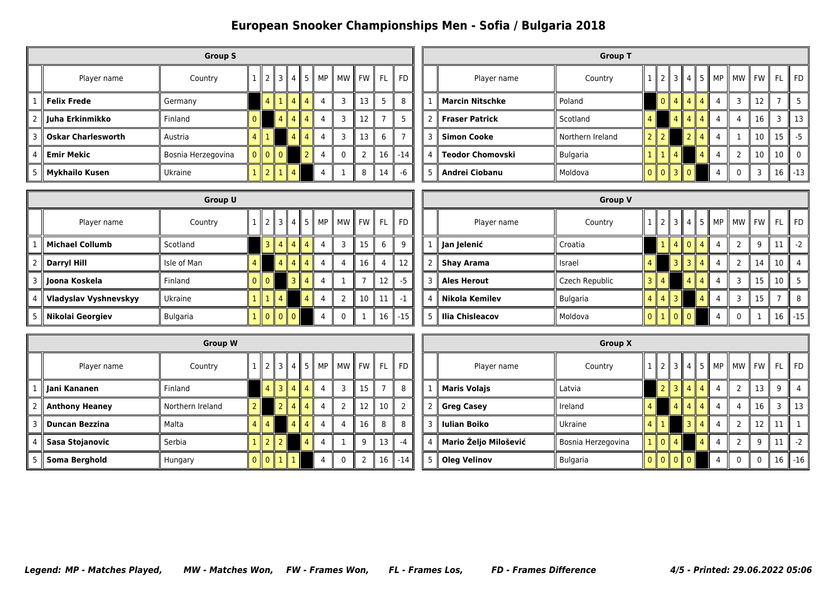|   |                           | <b>Group S</b>     |               |         |      |                |                |                |              |      |           |           |
|---|---------------------------|--------------------|---------------|---------|------|----------------|----------------|----------------|--------------|------|-----------|-----------|
|   | Player name               | Country            |               | 2 II    | 3    | 4              | 5              | MP             | МW           | FW I | <b>FL</b> | <b>FD</b> |
| 1 | <b>Felix Frede</b>        | Germany            |               | 4       |      | $\overline{4}$ | $\parallel$ 4  | 4              | 3            | 13   | 5         | 8         |
| 2 | ∥ Juha Erkinmikko         | Finland            | $\Omega$      |         | 4 II | $\overline{4}$ | $\parallel$ 4  | $\overline{4}$ | 3            | 12   | 7         | 5         |
| 3 | <b>Oskar Charlesworth</b> | Austria            | $4 \parallel$ | 1       |      | $\overline{4}$ | $\overline{4}$ | 4              | 3            | 13   | 6         | 7         |
| 4 | <b>Emir Mekic</b>         | Bosnia Herzegovina |               | $0$ 0 0 |      |                | $\overline{2}$ | 4              | $\mathbf{0}$ | 2    | 16        | $-14$     |
| 5 | <b>Mykhailo Kusen</b>     | Ukraine            |               | $2$   1 |      | $\overline{4}$ |                | 4              |              | 8    | 14        | $-6$      |

|               |                             | <b>Group T</b>   |                |                       |               |                          |                |   |                      |    |    |          |
|---------------|-----------------------------|------------------|----------------|-----------------------|---------------|--------------------------|----------------|---|----------------------|----|----|----------|
|               | Player name                 | Country          |                |                       |               |                          | 131451         |   | MP    MW    FW    FL |    |    | FD       |
|               | $\parallel$ Marcin Nitschke | Poland           |                | $\Omega$              | 4  4  4       |                          |                | 4 | ٦                    | 12 |    |          |
| $\mathcal{P}$ | $\parallel$ Fraser Patrick  | Scotland         | 4              |                       |               | $4 \parallel 4$          | $\overline{4}$ | 4 | 4                    | 16 |    | 13       |
| 3             | <b>Simon Cooke</b>          | Northern Ireland | $\overline{2}$ |                       |               | $\overline{\phantom{a}}$ | 4<br>Ш         | 4 |                      | 10 | 15 | -5       |
| 4             | <b>Teodor Chomovski</b>     | <b>Bulgaria</b>  |                | $\mathbf{1}$          | $\parallel$ 4 |                          | $\overline{4}$ | 4 | $\mathcal{P}$        | 10 | 10 | $\Omega$ |
| 5             | Andrei Ciobanu              | Moldova          |                | $0$   $0$   $3$   $0$ |               |                          |                |   | U                    | 3  | 16 | $-13$    |

|                        | <b>Group U</b> |                |                |                |           |                  |   |                          |    |                |       |  |                    | <b>Group V</b> |      |                |                |                  |          |    |                                          |                 |                |
|------------------------|----------------|----------------|----------------|----------------|-----------|------------------|---|--------------------------|----|----------------|-------|--|--------------------|----------------|------|----------------|----------------|------------------|----------|----|------------------------------------------|-----------------|----------------|
| Player name            | Country        |                |                |                |           |                  |   | $2$ 3 4 5 MP MW FW FU FL |    |                |       |  | Player name        | Country        |      |                |                |                  |          |    | $\ 2\ 3\ 4\ 5\ $ MP $\ $ MW $\ $ FW $\ $ |                 | FL    FD       |
| <b>Michael Collumb</b> | Scotland       |                |                |                |           | 3    4    4    4 | 4 | $\overline{3}$           | 15 | 6              | -9    |  | Jan Jelenić        | Croatia        |      |                |                | 1    4    0    4 |          | -4 | Q                                        | 11              | $-2$           |
| Darryl Hill            | l Isle of Man  |                |                | 4              |           | $4 \mid 4 \mid$  | 4 |                          | 16 | $\overline{4}$ | 12    |  | <b>Shay Arama</b>  | Israel         |      |                |                | 3 3 4            |          | 4  | 14                                       | 10 <sub>h</sub> | $\overline{4}$ |
| Joona Koskela          | Finland        | 0 <sup>1</sup> | $\overline{0}$ |                | 3         | $\overline{4}$   | 4 |                          |    | 12             | $-5$  |  | <b>Ales Herout</b> | Czech Republic |      | 4 <sup>1</sup> |                | l 4 l            | 4        |    | 15                                       | 10 <sup>1</sup> |                |
| Vladyslav Vyshnevskyy  | Ukraine        |                |                | 4 <sup>1</sup> |           |                  |   |                          | 10 | 11             | $-1$  |  | Nikola Kemilev     | Bulgaria       | 4 II | 4              | 3 <sup>1</sup> |                  | <b>4</b> |    | 15                                       |                 | -8             |
| Nikolai Georgiev       | Bulgaria       |                |                |                | 1 0 0 0 0 |                  | 4 |                          |    | 16             | $-15$ |  | Ilia Chisleacov    | Moldova        |      |                |                | 0 1 0 0          |          |    |                                          | 16 <sup>1</sup> | $-15$          |

|                |                       | <b>Group W</b>   |                |                          |                |                |                |           |                |                |    |           |
|----------------|-----------------------|------------------|----------------|--------------------------|----------------|----------------|----------------|-----------|----------------|----------------|----|-----------|
|                | Player name           | Country          |                |                          | $2$   3        | " 4 ،          | 5 II           | <b>MP</b> | MW             | $\parallel$ FW | FL | <b>FD</b> |
|                | ∥ Jani Kananen        | Finland          |                | 4 I                      | 3 I            | (4)            | $\overline{4}$ | 4         | 3              | 15             |    | 8         |
| $\overline{2}$ | <b>Anthony Heaney</b> | Northern Ireland | 2              |                          | $\overline{2}$ | $\overline{4}$ | $\overline{4}$ | 4         | $\overline{2}$ | 12             | 10 | 2         |
| 3              | <b>Duncan Bezzina</b> | Malta            | $\overline{4}$ | $\parallel$ 4            |                | $\overline{4}$ | $\overline{4}$ | 4         | 4              | 16             | 8  | 8         |
| 4              | Sasa Stojanovic       | Serbia           |                | $\overline{\phantom{0}}$ | $\overline{z}$ |                | $\overline{4}$ | 4         | 1              | 9              | 13 | $-4$      |
| 5              | Soma Berghold         | Hungary          | 0              | $\Omega$<br>Ш            | $\mathbb{I}$ 1 |                |                | 4         | $\mathbf{0}$   | 2              | 16 | $-14$     |

|              |                       | <b>Group X</b>     |                |          |                 |                |                |                |                |             |           |                |
|--------------|-----------------------|--------------------|----------------|----------|-----------------|----------------|----------------|----------------|----------------|-------------|-----------|----------------|
|              | Player name           | Country            |                |          | 3 II            | 4 I            | 5              | <b>MP</b>      | MW II FW       |             | <b>FL</b> | <b>FD</b>      |
| $\mathbf{1}$ | <b>Maris Volajs</b>   | Latvia             |                |          | 3 <sup>  </sup> | $\overline{4}$ | $\overline{4}$ | $\overline{4}$ | $\mathcal{P}$  | 13          | 9         | $\overline{4}$ |
| 2            | <b>Greg Casey</b>     | Ireland            | 4              |          | $\overline{4}$  | $4 \parallel$  | $\overline{4}$ | $\overline{4}$ | 4              | 16          | 3         | 13             |
| 3            | <b>Iulian Boiko</b>   | Ukraine            | 4              |          |                 | 3 II           | $\overline{4}$ | 4              | $\overline{2}$ | 12          | 11        | 1              |
| 4            | Mario Željo Milošević | Bosnia Herzegovina | 1              | $\Omega$ | $\overline{4}$  |                | 4              | $\overline{4}$ | $\overline{2}$ | 9           | 11        | $-2$           |
| 5            | <b>Oleg Velinov</b>   | <b>Bulgaria</b>    | $\overline{0}$ | $\Omega$ | $\mathbf{0}$    | $\mathsf{I}$ 0 |                | 4              | $\mathbf 0$    | $\mathbf 0$ | 16        | $-16$          |